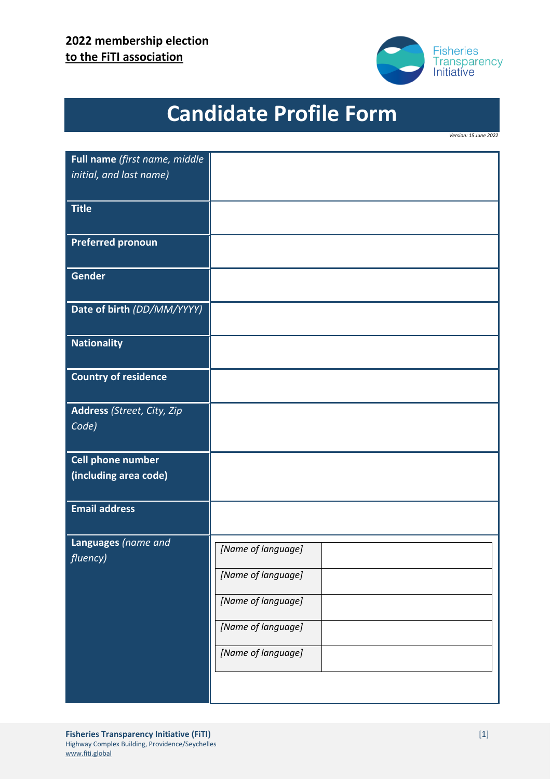

## **Candidate Profile Form**

*Version: 15 June 2022*

| Full name (first name, middle<br>initial, and last name) |                                                                                                            |
|----------------------------------------------------------|------------------------------------------------------------------------------------------------------------|
| <b>Title</b>                                             |                                                                                                            |
| <b>Preferred pronoun</b>                                 |                                                                                                            |
| <b>Gender</b>                                            |                                                                                                            |
| Date of birth (DD/MM/YYYY)                               |                                                                                                            |
| <b>Nationality</b>                                       |                                                                                                            |
| <b>Country of residence</b>                              |                                                                                                            |
| Address (Street, City, Zip<br>Code)                      |                                                                                                            |
| <b>Cell phone number</b><br>(including area code)        |                                                                                                            |
| <b>Email address</b>                                     |                                                                                                            |
| Languages (name and<br>fluency)                          | [Name of language]<br>[Name of language]<br>[Name of language]<br>[Name of language]<br>[Name of language] |